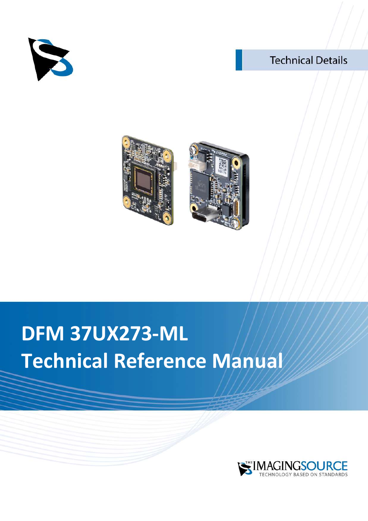

# **Technical Details**





# **DFM 37UX273-ML Technical Reference Manual**

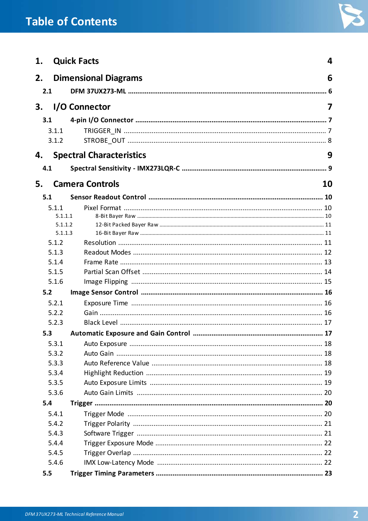# **Table of Contents**



| 1.  |                                  | <b>Quick Facts</b>              | 4   |  |  |
|-----|----------------------------------|---------------------------------|-----|--|--|
| 2.  | <b>Dimensional Diagrams</b><br>6 |                                 |     |  |  |
| 2.1 |                                  |                                 | . 6 |  |  |
|     |                                  |                                 |     |  |  |
| 3.  |                                  | I/O Connector                   | 7   |  |  |
| 3.1 |                                  |                                 |     |  |  |
|     | 3.1.1                            |                                 |     |  |  |
|     | 3.1.2                            |                                 |     |  |  |
| 4.  |                                  | <b>Spectral Characteristics</b> | 9   |  |  |
| 4.1 |                                  |                                 |     |  |  |
| 5.  |                                  | <b>Camera Controls</b>          | 10  |  |  |
| 5.1 |                                  |                                 |     |  |  |
|     | 5.1.1                            |                                 |     |  |  |
|     | 5.1.1.1                          |                                 |     |  |  |
|     | 5.1.1.2                          |                                 |     |  |  |
|     | 5.1.1.3                          |                                 |     |  |  |
|     | 5.1.2                            |                                 |     |  |  |
|     | 5.1.3                            |                                 |     |  |  |
|     | 5.1.4<br>5.1.5                   |                                 |     |  |  |
|     | 5.1.6                            |                                 |     |  |  |
| 5.2 |                                  |                                 |     |  |  |
|     | 5.2.1                            |                                 |     |  |  |
|     | 5.2.2                            |                                 |     |  |  |
|     | 5.2.3                            |                                 |     |  |  |
| 5.3 |                                  |                                 |     |  |  |
|     | 5.3.1                            |                                 |     |  |  |
|     | 5.3.2                            |                                 |     |  |  |
|     | 5.3.3                            |                                 |     |  |  |
|     | 5.3.4                            |                                 |     |  |  |
|     | 5.3.5                            |                                 |     |  |  |
|     | 5.3.6                            |                                 |     |  |  |
| 5.4 |                                  |                                 |     |  |  |
|     | 5.4.1                            |                                 |     |  |  |
|     | 5.4.2                            |                                 |     |  |  |
|     | 5.4.3                            |                                 |     |  |  |
|     | 5.4.4                            |                                 |     |  |  |
|     | 5.4.5                            |                                 |     |  |  |
|     | 5.4.6                            |                                 |     |  |  |
| 5.5 |                                  |                                 |     |  |  |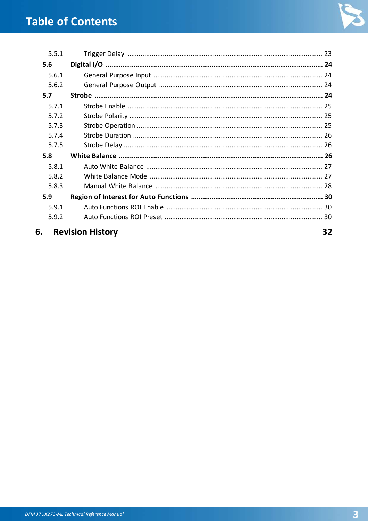

| 5.5.1 |                         |    |
|-------|-------------------------|----|
| 5.6   |                         |    |
| 5.6.1 |                         |    |
| 5.6.2 |                         |    |
| 5.7   |                         |    |
| 5.7.1 |                         |    |
| 5.7.2 |                         |    |
| 5.7.3 |                         |    |
| 5.7.4 |                         |    |
| 5.7.5 |                         |    |
| 5.8   |                         |    |
| 5.8.1 |                         |    |
| 5.8.2 |                         |    |
| 5.8.3 |                         |    |
| 5.9   |                         |    |
| 5.9.1 |                         |    |
| 5.9.2 |                         |    |
| 6.    | <b>Revision History</b> | 32 |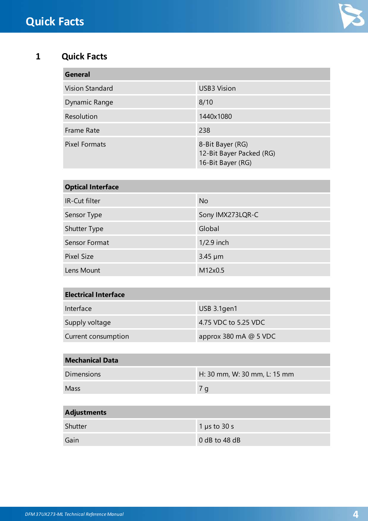

### <span id="page-3-0"></span>**1 Quick Facts**

| General              |                                                                   |
|----------------------|-------------------------------------------------------------------|
| Vision Standard      | <b>USB3 Vision</b>                                                |
| Dynamic Range        | 8/10                                                              |
| Resolution           | 1440x1080                                                         |
| Frame Rate           | 238                                                               |
| <b>Pixel Formats</b> | 8-Bit Bayer (RG)<br>12-Bit Bayer Packed (RG)<br>16-Bit Bayer (RG) |

| <b>Optical Interface</b> |                  |  |  |
|--------------------------|------------------|--|--|
| IR-Cut filter            | <b>No</b>        |  |  |
| Sensor Type              | Sony IMX273LQR-C |  |  |
| <b>Shutter Type</b>      | Global           |  |  |
| Sensor Format            | $1/2.9$ inch     |  |  |
| Pixel Size               | $3.45 \mu m$     |  |  |
| Lens Mount               | M12x0.5          |  |  |

| <b>Electrical Interface</b> |                         |  |
|-----------------------------|-------------------------|--|
| Interface                   | USB 3.1gen1             |  |
| Supply voltage              | 4.75 VDC to 5.25 VDC    |  |
| Current consumption         | approx 380 mA $@$ 5 VDC |  |

| <b>Mechanical Data</b> |                              |  |  |  |
|------------------------|------------------------------|--|--|--|
| <b>Dimensions</b>      | H: 30 mm, W: 30 mm, L: 15 mm |  |  |  |
| Mass                   | 7 g                          |  |  |  |
|                        |                              |  |  |  |

| <b>Adjustments</b> |                   |  |
|--------------------|-------------------|--|
| Shutter            | 1 $\mu$ s to 30 s |  |
| Gain               | $0$ dB to 48 dB   |  |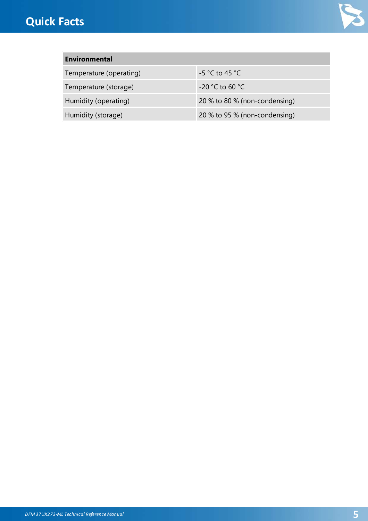

### **Environmental**

Temperature (operating)  $-5 °C$  to 45 °C

Temperature (storage) -20 °C to 60 °C

Humidity (operating) 20 % to 80 % (non-condensing) Humidity (storage) 20 % to 95 % (non-condensing)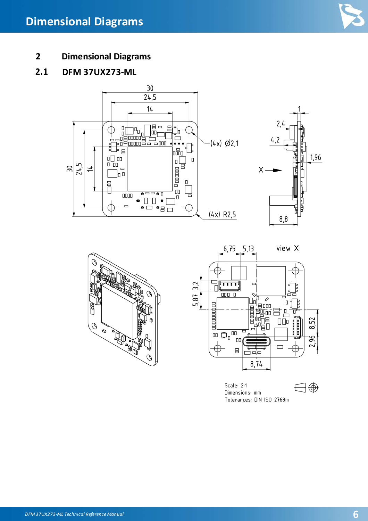

<span id="page-5-0"></span>**2 Dimensional Diagrams**

### <span id="page-5-1"></span>**2.1 DFM 37UX273-ML**





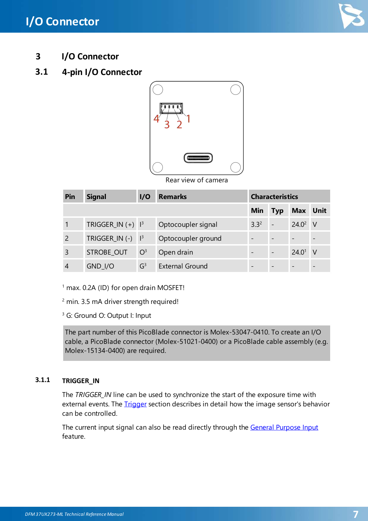

<span id="page-6-0"></span>**3 I/O Connector**

### <span id="page-6-1"></span>**3.1 4-pin I/O Connector**



Rear view of camera

| Pin            | <b>Signal</b>                   | 1/0                  | <b>Remarks</b>         | <b>Characteristics</b> |                          |                   |          |
|----------------|---------------------------------|----------------------|------------------------|------------------------|--------------------------|-------------------|----------|
|                |                                 |                      |                        | <b>Min</b>             | <b>Typ</b>               | <b>Max</b> Unit   |          |
|                | TRIGGER_IN $(+)$   <sup>3</sup> |                      | Optocoupler signal     | 3.3 <sup>2</sup>       | $\overline{a}$           | 24.0 <sup>2</sup> | - V      |
| $\overline{2}$ | TRIGGER_IN(-)                   | $\vert$ <sup>3</sup> | Optocoupler ground     |                        | $\overline{\phantom{a}}$ |                   |          |
| 3              | STROBE_OUT                      | O <sup>3</sup>       | Open drain             |                        | $\overline{\phantom{a}}$ | 24.0 <sup>1</sup> | <b>V</b> |
|                | $GND$ <sub>//O</sub>            | G <sup>3</sup>       | <b>External Ground</b> |                        | $\overline{\phantom{0}}$ |                   |          |

<sup>1</sup> max. 0.2A (ID) for open drain MOSFET!

<sup>2</sup> min. 3.5 mA driver strength required!

<sup>3</sup> G: Ground O: Output I: Input

The part number of this PicoBlade connector is Molex-53047-0410. To create an I/O cable, a PicoBlade connector (Molex-51021-0400) or a PicoBlade cable assembly (e.g. Molex-15134-0400) are required.

### <span id="page-6-2"></span>**3.1.1 TRIGGER\_IN**

The *TRIGGER\_IN* line can be used to synchronize the start of the exposure time with external events. The *[Trigger](#page-19-1)* section describes in detail how the image sensor's behavior can be controlled.

The current input signal can also be read directly through the General [Purpose](#page-23-1) Input feature.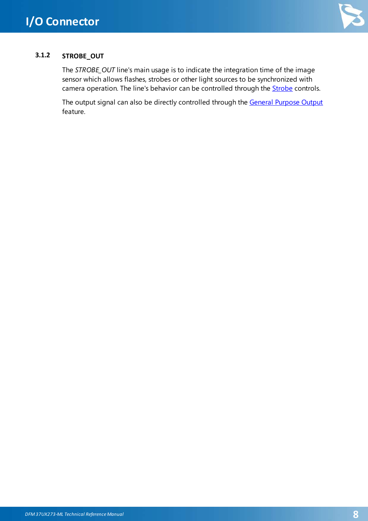

### <span id="page-7-0"></span>**3.1.2 STROBE\_OUT**

The *STROBE\_OUT* line's main usage is to indicate the integration time of the image sensor which allows flashes, strobes or other light sources to be synchronized with camera operation. The line's behavior can be controlled through the **[Strobe](#page-23-3)** controls.

The output signal can also be directly controlled through the General [Purpose](#page-23-2) Output feature.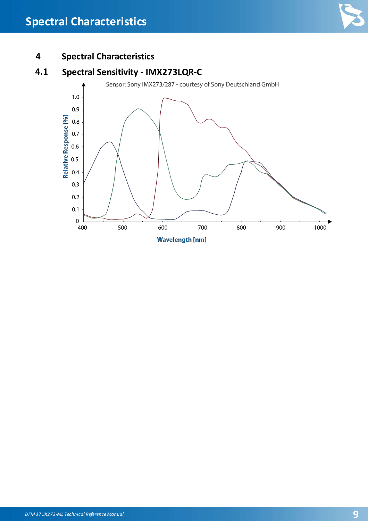

### <span id="page-8-0"></span>**4 Spectral Characteristics**

### <span id="page-8-1"></span>**4.1 Spectral Sensitivity - IMX273LQR-C**

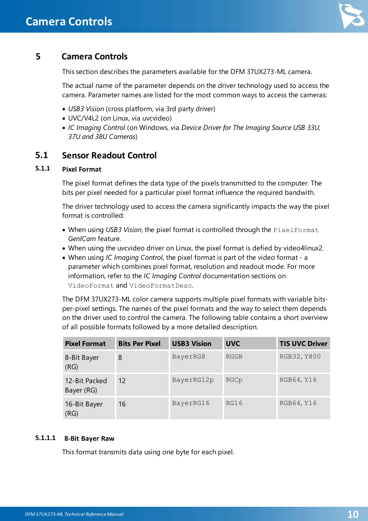

<span id="page-9-0"></span>This section describes the parameters available for the DFM 37UX273-ML camera.

The actual name of the parameter depends on the driver technology used to access the camera. Parameter names are listed for the most common ways to access the cameras:

- · *USB3 Vision* (cross platform, via 3rd party driver)
- · UVC/V4L2 (on Linux, via uvcvideo)
- · *IC Imaging Control* (on Windows, via *Device Driver for The Imaging Source USB 33U, 37U and 38U Cameras*)

### <span id="page-9-1"></span>**5.1 Sensor Readout Control**

### <span id="page-9-2"></span>**5.1.1 Pixel Format**

The pixel format defines the data type of the pixels transmitted to the computer. The bits per pixel needed for a particular pixel format influence the required bandwith.

The driver technology used to access the camera significantly impacts the way the pixel format is controlled:

- · When using *USB3 Vision*, the pixel format is controlled through the PixelFormat *GenICam* feature.
- · When using the uvcvideo driver on Linux, the pixel format is defied by video4linux2.
- · When using *IC Imaging Control*, the pixel format is part of the video format a parameter which combines pixel format, resolution and readout mode. For more information, refer to the *IC Imaging Control* documentation sections on VideoFormat and VideoFormatDesc.

The DFM 37UX273-ML color camera supports multiple pixel formats with variable bitsper-pixel settings. The names of the pixel formats and the way to select them depends on the driver used to control the camera. The following table contains a short overview of all possible formats followed by a more detailed description.

| <b>Pixel Format</b>         | <b>Bits Per Pixel</b> | <b>USB3 Vision</b> | <b>UVC</b>  | <b>TIS UVC Driver</b> |
|-----------------------------|-----------------------|--------------------|-------------|-----------------------|
| 8-Bit Bayer<br>(RG)         | 8                     | BayerRG8           | <b>RGGB</b> | RGB32, Y800           |
| 12-Bit Packed<br>Bayer (RG) | $12 \overline{ }$     | BayerRG12p         | RGCp        | RGB64, Y16            |
| 16-Bit Bayer<br>(RG)        | 16                    | BayerRG16          | RG16        | RGB64, Y16            |

### <span id="page-9-3"></span>**5.1.1.1 8-Bit Bayer Raw**

This format transmits data using one byte for each pixel.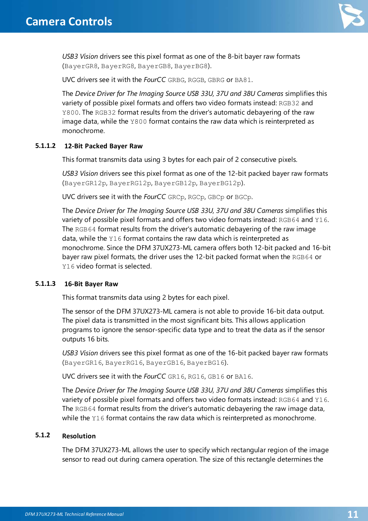

*USB3 Vision* drivers see this pixel format as one of the 8-bit bayer raw formats (BayerGR8, BayerRG8, BayerGB8, BayerBG8).

UVC drivers see it with the *FourCC* GRBG, RGGB, GBRG or BA81.

The *Device Driver for The Imaging Source USB 33U, 37U and 38U Cameras* simplifies this variety of possible pixel formats and offers two video formats instead: RGB32 and Y800. The RGB32 format results from the driver's automatic debayering of the raw image data, while the Y800 format contains the raw data which is reinterpreted as monochrome.

### <span id="page-10-0"></span>**5.1.1.2 12-Bit Packed Bayer Raw**

This format transmits data using 3 bytes for each pair of 2 consecutive pixels.

*USB3 Vision* drivers see this pixel format as one of the 12-bit packed bayer raw formats (BayerGR12p, BayerRG12p, BayerGB12p, BayerBG12p).

UVC drivers see it with the *FourCC* GRCp, RGCp, GBCp or BGCp.

The *Device Driver for The Imaging Source USB 33U, 37U and 38U Cameras* simplifies this variety of possible pixel formats and offers two video formats instead: RGB64 and Y16. The RGB64 format results from the driver's automatic debayering of the raw image data, while the Y16 format contains the raw data which is reinterpreted as monochrome. Since the DFM 37UX273-ML camera offers both 12-bit packed and 16-bit bayer raw pixel formats, the driver uses the 12-bit packed format when the RGB64 or Y16 video format is selected.

### <span id="page-10-1"></span>**5.1.1.3 16-Bit Bayer Raw**

This format transmits data using 2 bytes for each pixel.

The sensor of the DFM 37UX273-ML camera is not able to provide 16-bit data output. The pixel data is transmitted in the most significant bits. This allows application programs to ignore the sensor-specific data type and to treat the data as if the sensor outputs 16 bits.

*USB3 Vision* drivers see this pixel format as one of the 16-bit packed bayer raw formats (BayerGR16, BayerRG16, BayerGB16, BayerBG16).

UVC drivers see it with the *FourCC* GR16, RG16, GB16 or BA16.

The *Device Driver for The Imaging Source USB 33U, 37U and 38U Cameras* simplifies this variety of possible pixel formats and offers two video formats instead: RGB64 and Y16. The RGB64 format results from the driver's automatic debayering the raw image data, while the Y16 format contains the raw data which is reinterpreted as monochrome.

### <span id="page-10-2"></span>**5.1.2 Resolution**

The DFM 37UX273-ML allows the user to specify which rectangular region of the image sensor to read out during camera operation. The size of this rectangle determines the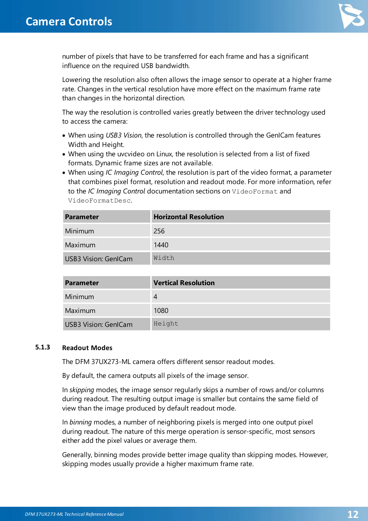

number of pixels that have to be transferred for each frame and has a significant influence on the required USB bandwidth.

Lowering the resolution also often allows the image sensor to operate at a higher frame rate. Changes in the vertical resolution have more effect on the maximum frame rate than changes in the horizontal direction.

The way the resolution is controlled varies greatly between the driver technology used to access the camera:

- · When using *USB3 Vision*, the resolution is controlled through the GenICam features Width and Height.
- · When using the uvcvideo on Linux, the resolution is selected from a list of fixed formats. Dynamic frame sizes are not available.
- · When using *IC Imaging Control*, the resolution is part of the video format, a parameter that combines pixel format, resolution and readout mode. For more information, refer to the *IC Imaging Control* documentation sections on VideoFormat and VideoFormatDesc.

| <b>Parameter</b>            | <b>Horizontal Resolution</b> |
|-----------------------------|------------------------------|
| Minimum                     | 256                          |
| Maximum                     | 1440                         |
| <b>USB3 Vision: GenICam</b> | Width                        |

| <b>Parameter</b>            | <b>Vertical Resolution</b> |
|-----------------------------|----------------------------|
| Minimum                     | 4                          |
| Maximum                     | 1080                       |
| <b>USB3 Vision: GenICam</b> | Height                     |

#### <span id="page-11-0"></span>**5.1.3 Readout Modes**

The DFM 37UX273-ML camera offers different sensor readout modes.

By default, the camera outputs all pixels of the image sensor.

In *skipping* modes, the image sensor regularly skips a number of rows and/or columns during readout. The resulting output image is smaller but contains the same field of view than the image produced by default readout mode.

In *binning* modes, a number of neighboring pixels is merged into one output pixel during readout. The nature of this merge operation is sensor-specific, most sensors either add the pixel values or average them.

Generally, binning modes provide better image quality than skipping modes. However, skipping modes usually provide a higher maximum frame rate.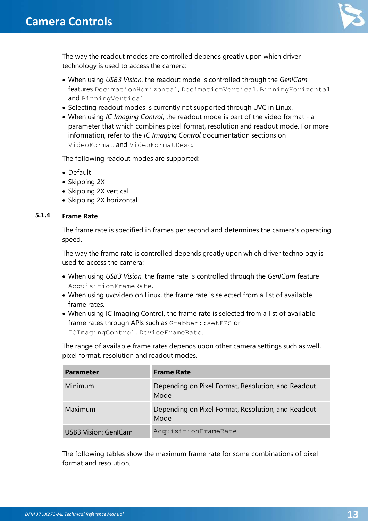

The way the readout modes are controlled depends greatly upon which driver technology is used to access the camera:

- · When using *USB3 Vision*, the readout mode is controlled through the *GenICam* features DecimationHorizontal, DecimationVertical, BinningHorizontal and BinningVertical.
- · Selecting readout modes is currently not supported through UVC in Linux.
- · When using *IC Imaging Control*, the readout mode is part of the video format a parameter that which combines pixel format, resolution and readout mode. For more information, refer to the *IC Imaging Control* documentation sections on VideoFormat and VideoFormatDesc.

The following readout modes are supported:

- · Default
- · Skipping 2X
- · Skipping 2X vertical
- Skipping 2X horizontal

### <span id="page-12-0"></span>**5.1.4 Frame Rate**

The frame rate is specified in frames per second and determines the camera's operating speed.

The way the frame rate is controlled depends greatly upon which driver technology is used to access the camera:

- · When using *USB3 Vision*, the frame rate is controlled through the *GenICam* feature AcquisitionFrameRate.
- · When using uvcvideo on Linux, the frame rate is selected from a list of available frame rates.
- · When using IC Imaging Control, the frame rate is selected from a list of available frame rates through APIs such as Grabber: : setFPS or ICImagingControl.DeviceFrameRate.

The range of available frame rates depends upon other camera settings such as well, pixel format, resolution and readout modes.

| <b>Parameter</b>     | <b>Frame Rate</b>                                          |
|----------------------|------------------------------------------------------------|
| Minimum              | Depending on Pixel Format, Resolution, and Readout<br>Mode |
| Maximum              | Depending on Pixel Format, Resolution, and Readout<br>Mode |
| USB3 Vision: GenlCam | AcquisitionFrameRate                                       |

The following tables show the maximum frame rate for some combinations of pixel format and resolution.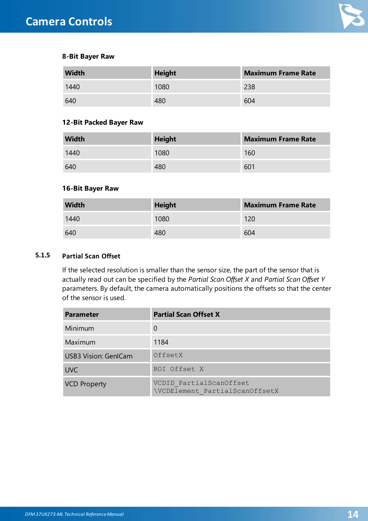

#### **8-Bit Bayer Raw**

| <b>Width</b> | <b>Height</b> | <b>Maximum Frame Rate</b> |
|--------------|---------------|---------------------------|
| 1440         | 1080          | 238                       |
| 640          | 480           | 604                       |

#### **12-Bit Packed Bayer Raw**

| <b>Width</b> | <b>Height</b> | <b>Maximum Frame Rate</b> |
|--------------|---------------|---------------------------|
| 1440         | 1080          | 160                       |
| 640          | 480           | 601                       |

#### **16-Bit Bayer Raw**

| <b>Width</b> | <b>Height</b> | <b>Maximum Frame Rate</b> |
|--------------|---------------|---------------------------|
| 1440         | 1080          | 120                       |
| 640          | 480           | 604                       |

### <span id="page-13-0"></span>**5.1.5 Partial Scan Offset**

If the selected resolution is smaller than the sensor size, the part of the sensor that is actually read out can be specified by the *Partial Scan Offset X* and *Partial Scan Offset Y* parameters. By default, the camera automatically positions the offsets so that the center of the sensor is used.

| <b>Parameter</b>            | <b>Partial Scan Offset X</b>                              |
|-----------------------------|-----------------------------------------------------------|
| Minimum                     | 0                                                         |
| Maximum                     | 1184                                                      |
| <b>USB3 Vision: GenlCam</b> | OffsetX                                                   |
| <b>UVC</b>                  | ROI Offset X                                              |
| <b>VCD Property</b>         | VCDID PartialScanOffset<br>\VCDElement PartialScanOffsetX |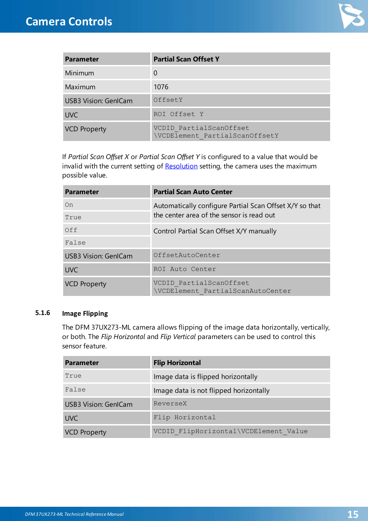

| <b>Parameter</b>            | <b>Partial Scan Offset Y</b>                              |
|-----------------------------|-----------------------------------------------------------|
| Minimum                     | 0                                                         |
| Maximum                     | 1076                                                      |
| <b>USB3 Vision: GenlCam</b> | OffsetY                                                   |
| <b>UVC</b>                  | ROI Offset Y                                              |
| <b>VCD Property</b>         | VCDID PartialScanOffset<br>\VCDElement PartialScanOffsetY |

If *Partial Scan Offset X* or *Partial Scan Offset Y* is configured to a value that would be invalid with the current setting of [Resolution](#page-10-2) setting, the camera uses the maximum possible value.

| <b>Parameter</b>            | <b>Partial Scan Auto Center</b>                                                                      |
|-----------------------------|------------------------------------------------------------------------------------------------------|
| On                          | Automatically configure Partial Scan Offset X/Y so that<br>the center area of the sensor is read out |
| True                        |                                                                                                      |
| Off                         | Control Partial Scan Offset X/Y manually                                                             |
| False                       |                                                                                                      |
| <b>USB3 Vision: GenICam</b> | OffsetAutoCenter                                                                                     |
| <b>UVC</b>                  | ROI Auto Center                                                                                      |
| <b>VCD Property</b>         | VCDID PartialScanOffset<br>\VCDElement PartialScanAutoCenter                                         |

#### <span id="page-14-0"></span>**5.1.6 Image Flipping**

The DFM 37UX273-ML camera allows flipping of the image data horizontally, vertically, or both. The *Flip Horizontal* and *Flip Vertical* parameters can be used to control this sensor feature.

| <b>Parameter</b>            | <b>Flip Horizontal</b>                 |
|-----------------------------|----------------------------------------|
| True                        | Image data is flipped horizontally     |
| False                       | Image data is not flipped horizontally |
| <b>USB3 Vision: GenlCam</b> | ReverseX                               |
| <b>UVC</b>                  | Flip Horizontal                        |
| <b>VCD Property</b>         | VCDID FlipHorizontal\VCDElement Value  |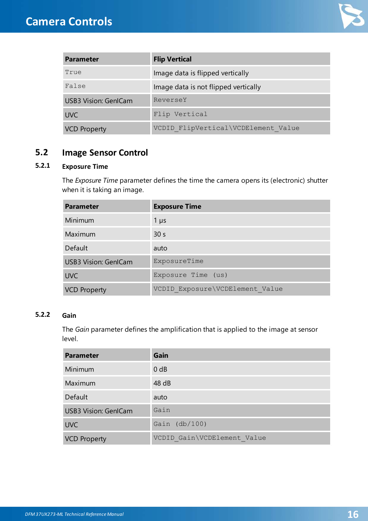

| <b>Parameter</b>            | <b>Flip Vertical</b>                 |
|-----------------------------|--------------------------------------|
| True                        | Image data is flipped vertically     |
| False                       | Image data is not flipped vertically |
| <b>USB3 Vision: GenlCam</b> | ReverseY                             |
| <b>UVC</b>                  | Flip Vertical                        |
| <b>VCD Property</b>         | VCDID FlipVertical\VCDElement Value  |

### <span id="page-15-0"></span>**5.2 Image Sensor Control**

### <span id="page-15-1"></span>**5.2.1 Exposure Time**

The *Exposure Time* parameter defines the time the camera opens its (electronic) shutter when it is taking an image.

| <b>Parameter</b>            | <b>Exposure Time</b>            |
|-----------------------------|---------------------------------|
| Minimum                     | $1 \mu s$                       |
| Maximum                     | 30 <sub>s</sub>                 |
| Default                     | auto                            |
| <b>USB3 Vision: GenlCam</b> | ExposureTime                    |
| <b>UVC</b>                  | Exposure Time (us)              |
| <b>VCD Property</b>         | VCDID Exposure\VCDElement Value |

### <span id="page-15-2"></span>**5.2.2 Gain**

The *Gain* parameter defines the amplification that is applied to the image at sensor level.

| <b>Parameter</b>            | Gain                        |
|-----------------------------|-----------------------------|
| Minimum                     | $0$ dB                      |
| Maximum                     | 48 dB                       |
| Default                     | auto                        |
| <b>USB3 Vision: GenlCam</b> | Gain                        |
| <b>UVC</b>                  | Gain $(db/100)$             |
| <b>VCD Property</b>         | VCDID Gain\VCDElement Value |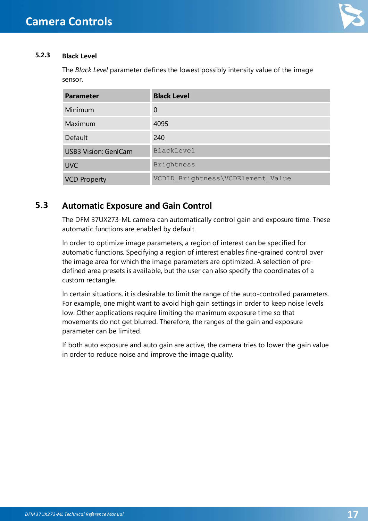

### <span id="page-16-0"></span>**5.2.3 Black Level**

The *Black Level* parameter defines the lowest possibly intensity value of the image sensor.

| <b>Parameter</b>            | <b>Black Level</b>                |
|-----------------------------|-----------------------------------|
| Minimum                     | 0                                 |
| Maximum                     | 4095                              |
| Default                     | 240                               |
| <b>USB3 Vision: GenICam</b> | BlackLevel                        |
| <b>UVC</b>                  | <b>Brightness</b>                 |
| <b>VCD Property</b>         | VCDID Brightness\VCDElement Value |

### <span id="page-16-1"></span>**5.3 Automatic Exposure and Gain Control**

The DFM 37UX273-ML camera can automatically control gain and exposure time. These automatic functions are enabled by default.

In order to optimize image parameters, a region of interest can be specified for automatic functions. Specifying a region of interest enables fine-grained control over the image area for which the image parameters are optimized. A selection of predefined area presets is available, but the user can also specify the coordinates of a custom rectangle.

In certain situations, it is desirable to limit the range of the auto-controlled parameters. For example, one might want to avoid high gain settings in order to keep noise levels low. Other applications require limiting the maximum exposure time so that movements do not get blurred. Therefore, the ranges of the gain and exposure parameter can be limited.

If both auto exposure and auto gain are active, the camera tries to lower the gain value in order to reduce noise and improve the image quality.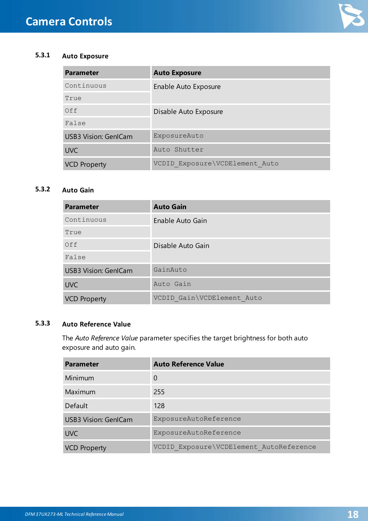

### <span id="page-17-0"></span>**5.3.1 Auto Exposure**

| <b>Parameter</b>            | <b>Auto Exposure</b>           |
|-----------------------------|--------------------------------|
| Continuous                  | Enable Auto Exposure           |
| True                        |                                |
| Off                         | Disable Auto Exposure          |
| False                       |                                |
| <b>USB3 Vision: GenlCam</b> | ExposureAuto                   |
| <b>UVC</b>                  | Auto Shutter                   |
| <b>VCD Property</b>         | VCDID Exposure\VCDElement Auto |

### <span id="page-17-1"></span>**5.3.2 Auto Gain**

| <b>Parameter</b>            | <b>Auto Gain</b>           |
|-----------------------------|----------------------------|
| Continuous                  | Enable Auto Gain           |
| True                        |                            |
| Off                         | Disable Auto Gain          |
| False                       |                            |
| <b>USB3 Vision: GenlCam</b> | GainAuto                   |
| <b>UVC</b>                  | Auto Gain                  |
| <b>VCD Property</b>         | VCDID Gain\VCDElement Auto |

### <span id="page-17-2"></span>**5.3.3 Auto Reference Value**

The *Auto Reference Value* parameter specifies the target brightness for both auto exposure and auto gain.

| <b>Parameter</b>            | <b>Auto Reference Value</b>             |
|-----------------------------|-----------------------------------------|
| Minimum                     | $\Omega$                                |
| Maximum                     | 255                                     |
| Default                     | 128                                     |
| <b>USB3 Vision: GenlCam</b> | ExposureAutoReference                   |
| <b>UVC</b>                  | ExposureAutoReference                   |
| <b>VCD Property</b>         | VCDID Exposure\VCDElement AutoReference |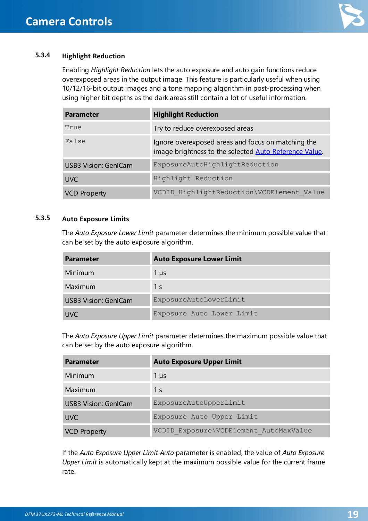

### <span id="page-18-0"></span>**5.3.4 Highlight Reduction**

Enabling *Highlight Reduction* lets the auto exposure and auto gain functions reduce overexposed areas in the output image. This feature is particularly useful when using 10/12/16-bit output images and a tone mapping algorithm in post-processing when using higher bit depths as the dark areas still contain a lot of useful information.

| <b>Parameter</b>            | <b>Highlight Reduction</b>                                                                                   |
|-----------------------------|--------------------------------------------------------------------------------------------------------------|
| True                        | Try to reduce overexposed areas                                                                              |
| False                       | Ignore overexposed areas and focus on matching the<br>image brightness to the selected Auto Reference Value. |
| <b>USB3 Vision: GenICam</b> | ExposureAutoHighlightReduction                                                                               |
| <b>UVC</b>                  | Highlight Reduction                                                                                          |
| <b>VCD Property</b>         | VCDID HighlightReduction\VCDElement Value                                                                    |

#### <span id="page-18-1"></span>**5.3.5 Auto Exposure Limits**

The *Auto Exposure Lower Limit* parameter determines the minimum possible value that can be set by the auto exposure algorithm.

| <b>Parameter</b>            | <b>Auto Exposure Lower Limit</b> |
|-----------------------------|----------------------------------|
| Minimum                     | $1 \mu s$                        |
| Maximum                     | 1 s                              |
| <b>USB3 Vision: GenlCam</b> | ExposureAutoLowerLimit           |
| <b>UVC</b>                  | Exposure Auto Lower Limit        |

The *Auto Exposure Upper Limit* parameter determines the maximum possible value that can be set by the auto exposure algorithm.

| <b>Parameter</b>            | <b>Auto Exposure Upper Limit</b>       |
|-----------------------------|----------------------------------------|
| Minimum                     | $1 \mu s$                              |
| Maximum                     | 1 <sub>s</sub>                         |
| <b>USB3 Vision: GenlCam</b> | ExposureAutoUpperLimit                 |
| <b>UVC</b>                  | Exposure Auto Upper Limit              |
| <b>VCD Property</b>         | VCDID Exposure\VCDElement AutoMaxValue |

If the *Auto Exposure Upper Limit Auto* parameter is enabled, the value of *Auto Exposure Upper Limit* is automatically kept at the maximum possible value for the current frame rate.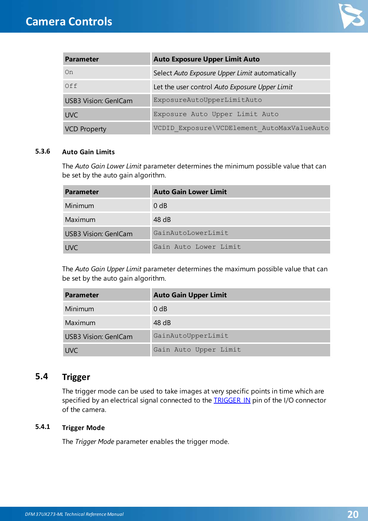

| <b>Parameter</b>            | <b>Auto Exposure Upper Limit Auto</b>          |
|-----------------------------|------------------------------------------------|
| On                          | Select Auto Exposure Upper Limit automatically |
| Off                         | Let the user control Auto Exposure Upper Limit |
| <b>USB3 Vision: GenlCam</b> | ExposureAutoUpperLimitAuto                     |
| <b>UVC</b>                  | Exposure Auto Upper Limit Auto                 |
| <b>VCD Property</b>         | VCDID Exposure\VCDElement AutoMaxValueAuto     |

#### <span id="page-19-0"></span>**5.3.6 Auto Gain Limits**

The *Auto Gain Lower Limit* parameter determines the minimum possible value that can be set by the auto gain algorithm.

| <b>Parameter</b>     | <b>Auto Gain Lower Limit</b> |
|----------------------|------------------------------|
| Minimum              | $0$ dB                       |
| Maximum              | 48 dB                        |
| USB3 Vision: GenlCam | GainAutoLowerLimit           |
| <b>UVC</b>           | Gain Auto Lower Limit        |

The *Auto Gain Upper Limit* parameter determines the maximum possible value that can be set by the auto gain algorithm.

| <b>Parameter</b>            | <b>Auto Gain Upper Limit</b> |
|-----------------------------|------------------------------|
| Minimum                     | 0 <sub>d</sub> B             |
| Maximum                     | 48 dB                        |
| <b>USB3 Vision: GenlCam</b> | GainAutoUpperLimit           |
| <b>UVC</b>                  | Gain Auto Upper Limit        |

### <span id="page-19-1"></span>**5.4 Trigger**

The trigger mode can be used to take images at very specific points in time which are specified by an electrical signal connected to the **[TRIGGER\\_IN](#page-6-2)** pin of the I/O connector of the camera.

### <span id="page-19-2"></span>**5.4.1 Trigger Mode**

The *Trigger Mode* parameter enables the trigger mode.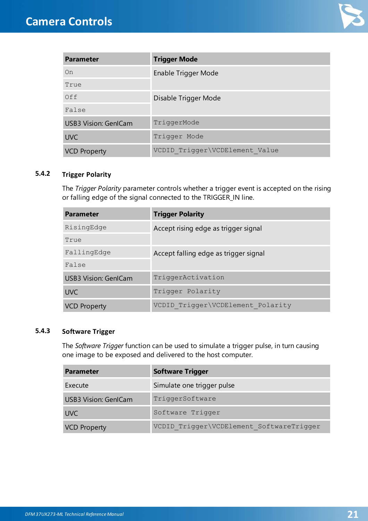

| <b>Parameter</b>            | <b>Trigger Mode</b>            |
|-----------------------------|--------------------------------|
| On                          | Enable Trigger Mode            |
| True                        |                                |
| Off                         | Disable Trigger Mode           |
| False                       |                                |
| <b>USB3 Vision: GenlCam</b> | TriggerMode                    |
| <b>UVC</b>                  | Trigger Mode                   |
| <b>VCD Property</b>         | VCDID Trigger\VCDElement Value |

### <span id="page-20-0"></span>**5.4.2 Trigger Polarity**

The *Trigger Polarity* parameter controls whether a trigger event is accepted on the rising or falling edge of the signal connected to the TRIGGER\_IN line.

| <b>Parameter</b>            | <b>Trigger Polarity</b>               |
|-----------------------------|---------------------------------------|
| RisingEdge                  | Accept rising edge as trigger signal  |
| True                        |                                       |
| FallingEdge                 | Accept falling edge as trigger signal |
| False                       |                                       |
| <b>USB3 Vision: GenlCam</b> | TriggerActivation                     |
| <b>UVC</b>                  | Trigger Polarity                      |
| <b>VCD Property</b>         | VCDID Trigger\VCDElement Polarity     |

### <span id="page-20-1"></span>**5.4.3 Software Trigger**

The *Software Trigger* function can be used to simulate a trigger pulse, in turn causing one image to be exposed and delivered to the host computer.

| <b>Parameter</b>            | <b>Software Trigger</b>                  |
|-----------------------------|------------------------------------------|
| Execute                     | Simulate one trigger pulse               |
| <b>USB3 Vision: GenlCam</b> | TriggerSoftware                          |
| <b>UVC</b>                  | Software Trigger                         |
| <b>VCD Property</b>         | VCDID Trigger\VCDElement SoftwareTrigger |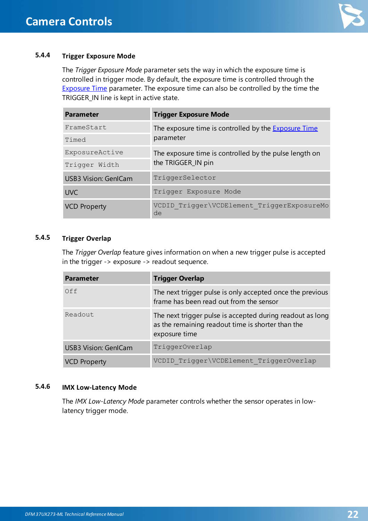

### <span id="page-21-0"></span>**5.4.4 Trigger Exposure Mode**

The *Trigger Exposure Mode* parameter sets the way in which the exposure time is controlled in trigger mode. By default, the exposure time is controlled through the [Exposure](#page-15-1) Time parameter. The exposure time can also be controlled by the time the TRIGGER\_IN line is kept in active state.

| <b>Parameter</b>            | <b>Trigger Exposure Mode</b>                                |
|-----------------------------|-------------------------------------------------------------|
| FrameStart                  | The exposure time is controlled by the <b>Exposure Time</b> |
| Timed                       | parameter                                                   |
| ExposureActive              | The exposure time is controlled by the pulse length on      |
| Trigger Width               | the TRIGGER_IN pin                                          |
| <b>USB3 Vision: GenlCam</b> | TriggerSelector                                             |
| <b>UVC</b>                  | Trigger Exposure Mode                                       |
| <b>VCD Property</b>         | VCDID Trigger\VCDElement TriggerExposureMo<br>de            |

#### <span id="page-21-1"></span>**5.4.5 Trigger Overlap**

The *Trigger Overlap* feature gives information on when a new trigger pulse is accepted in the trigger -> exposure -> readout sequence.

| <b>Parameter</b>            | <b>Trigger Overlap</b>                                                                                                          |
|-----------------------------|---------------------------------------------------------------------------------------------------------------------------------|
| Off                         | The next trigger pulse is only accepted once the previous<br>frame has been read out from the sensor                            |
| Readout                     | The next trigger pulse is accepted during readout as long<br>as the remaining readout time is shorter than the<br>exposure time |
| <b>USB3 Vision: GenlCam</b> | TriggerOverlap                                                                                                                  |
| <b>VCD Property</b>         | VCDID Trigger\VCDElement TriggerOverlap                                                                                         |

#### <span id="page-21-2"></span>**5.4.6 IMX Low-Latency Mode**

The *IMX Low-Latency Mode* parameter controls whether the sensor operates in lowlatency trigger mode.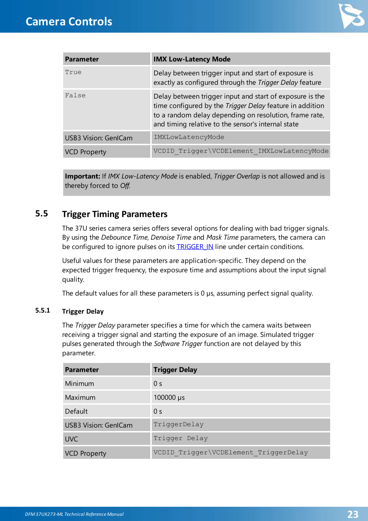

| <b>Parameter</b>            | <b>IMX Low-Latency Mode</b>                                                                                                                                                                                                          |
|-----------------------------|--------------------------------------------------------------------------------------------------------------------------------------------------------------------------------------------------------------------------------------|
| True                        | Delay between trigger input and start of exposure is<br>exactly as configured through the Trigger Delay feature                                                                                                                      |
| False                       | Delay between trigger input and start of exposure is the<br>time configured by the Trigger Delay feature in addition<br>to a random delay depending on resolution, frame rate,<br>and timing relative to the sensor's internal state |
| <b>USB3 Vision: GenlCam</b> | IMXLowLatencyMode                                                                                                                                                                                                                    |
| <b>VCD Property</b>         | VCDID Trigger\VCDElement IMXLowLatencyMode                                                                                                                                                                                           |

**Important:** If *IMX Low-Latency Mode* is enabled, *Trigger Overlap* is not allowed and is thereby forced to *Off*.

### <span id="page-22-0"></span>**5.5 Trigger Timing Parameters**

The 37U series camera series offers several options for dealing with bad trigger signals. By using the *Debounce Time*, *Denoise Time* and *Mask Time* parameters, the camera can be configured to ignore pulses on its **TRIGGER IN** line under certain conditions.

Useful values for these parameters are application-specific. They depend on the expected trigger frequency, the exposure time and assumptions about the input signal quality.

The default values for all these parameters is 0  $\mu$ s, assuming perfect signal quality.

#### <span id="page-22-1"></span>**5.5.1 Trigger Delay**

The *Trigger Delay* parameter specifies a time for which the camera waits between receiving a trigger signal and starting the exposure of an image. Simulated trigger pulses generated through the *Software Trigger* function are not delayed by this parameter.

| <b>Parameter</b>            | <b>Trigger Delay</b>                  |
|-----------------------------|---------------------------------------|
| Minimum                     | 0 <sub>s</sub>                        |
| Maximum                     | 100000 µs                             |
| Default                     | 0 <sub>s</sub>                        |
| <b>USB3 Vision: GenlCam</b> | TriggerDelay                          |
| <b>UVC</b>                  | Trigger Delay                         |
| <b>VCD Property</b>         | VCDID Trigger\VCDElement TriggerDelay |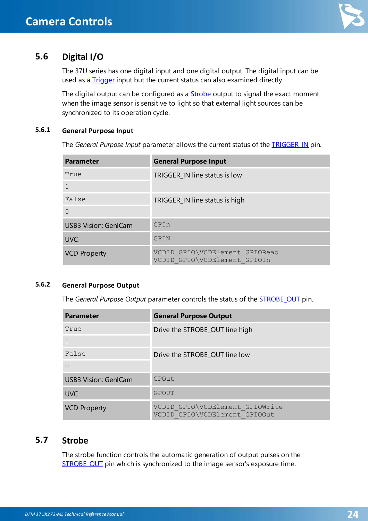

### <span id="page-23-0"></span>**5.6 Digital I/O**

The 37U series has one digital input and one digital output. The digital input can be used as a **[Trigger](#page-19-1)** input but the current status can also examined directly.

The digital output can be configured as a **[Strobe](#page-23-3)** output to signal the exact moment when the image sensor is sensitive to light so that external light sources can be synchronized to its operation cycle.

### <span id="page-23-1"></span>**5.6.1 General Purpose Input**

The *General Purpose Input* parameter allows the current status of the [TRIGGER\\_IN](#page-6-2) pin.

| <b>Parameter</b>            | <b>General Purpose Input</b>                                   |
|-----------------------------|----------------------------------------------------------------|
| True                        | TRIGGER_IN line status is low                                  |
|                             |                                                                |
| False                       | TRIGGER_IN line status is high                                 |
| $\Omega$                    |                                                                |
| <b>USB3 Vision: GenICam</b> | GPIn                                                           |
| <b>UVC</b>                  | GPIN                                                           |
| <b>VCD Property</b>         | VCDID GPIO\VCDElement GPIORead<br>VCDID GPIO\VCDElement GPIOIn |

### <span id="page-23-2"></span>**5.6.2 General Purpose Output**

The *General Purpose Output* parameter controls the status of the [STROBE\\_OUT](#page-7-0) pin.

| <b>Parameter</b>            | <b>General Purpose Output</b>                                    |
|-----------------------------|------------------------------------------------------------------|
| True                        | Drive the STROBE_OUT line high                                   |
|                             |                                                                  |
| False                       | Drive the STROBE OUT line low                                    |
| $\Omega$                    |                                                                  |
| <b>USB3 Vision: GenlCam</b> | GPOut                                                            |
| <b>UVC</b>                  | GPOUT                                                            |
| <b>VCD Property</b>         | VCDID GPIO\VCDElement GPIOWrite<br>VCDID GPIO\VCDElement GPIOOut |

### <span id="page-23-3"></span>**5.7 Strobe**

The strobe function controls the automatic generation of output pulses on the [STROBE\\_OUT](#page-7-0) pin which is synchronized to the image sensor's exposure time.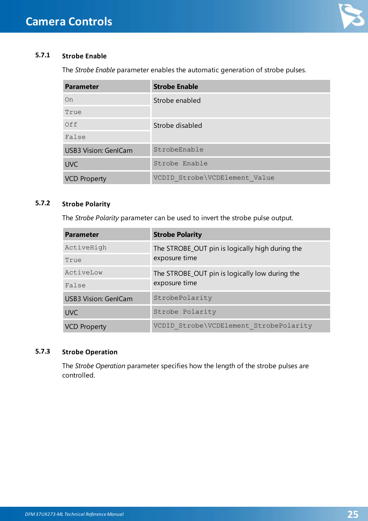

### <span id="page-24-0"></span>**5.7.1 Strobe Enable**

The *Strobe Enable* parameter enables the automatic generation of strobe pulses.

| <b>Parameter</b>            | <b>Strobe Enable</b>          |
|-----------------------------|-------------------------------|
| On                          | Strobe enabled                |
| True                        |                               |
| Off                         | Strobe disabled               |
| False                       |                               |
| <b>USB3 Vision: GenlCam</b> | StrobeEnable                  |
| <b>UVC</b>                  | Strobe Enable                 |
| <b>VCD Property</b>         | VCDID Strobe\VCDElement Value |

### <span id="page-24-1"></span>**5.7.2 Strobe Polarity**

The *Strobe Polarity* parameter can be used to invert the strobe pulse output.

| <b>Parameter</b>            | <b>Strobe Polarity</b>                          |
|-----------------------------|-------------------------------------------------|
| ActiveHigh                  | The STROBE_OUT pin is logically high during the |
| True                        | exposure time                                   |
| ActiveLow                   | The STROBE_OUT pin is logically low during the  |
| False                       | exposure time                                   |
| <b>USB3 Vision: GenlCam</b> | StrobePolarity                                  |
| <b>UVC</b>                  | Strobe Polarity                                 |
| <b>VCD Property</b>         | VCDID Strobe\VCDElement StrobePolarity          |

### <span id="page-24-2"></span>**5.7.3 Strobe Operation**

The *Strobe Operation* parameter specifies how the length of the strobe pulses are controlled.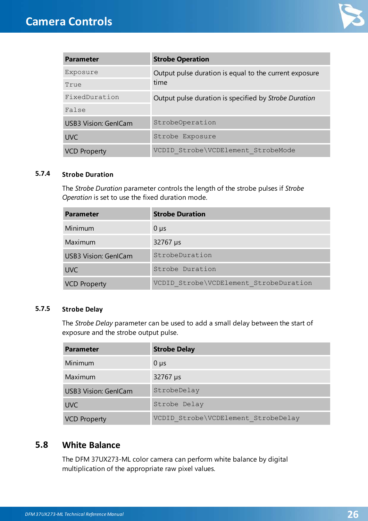

| <b>Parameter</b>            | <b>Strobe Operation</b>                                |
|-----------------------------|--------------------------------------------------------|
| Exposure                    | Output pulse duration is equal to the current exposure |
| True                        | time                                                   |
| FixedDuration               | Output pulse duration is specified by Strobe Duration  |
| False                       |                                                        |
| <b>USB3 Vision: GenlCam</b> | StrobeOperation                                        |
| <b>UVC</b>                  | Strobe Exposure                                        |
| <b>VCD Property</b>         | VCDID Strobe\VCDElement StrobeMode                     |

#### <span id="page-25-0"></span>**5.7.4 Strobe Duration**

The *Strobe Duration* parameter controls the length of the strobe pulses if *Strobe Operation* is set to use the fixed duration mode.

| <b>Parameter</b>            | <b>Strobe Duration</b>                 |
|-----------------------------|----------------------------------------|
| Minimum                     | $0 \mu s$                              |
| Maximum                     | 32767 µs                               |
| <b>USB3 Vision: GenlCam</b> | StrobeDuration                         |
| <b>UVC</b>                  | Strobe Duration                        |
| <b>VCD Property</b>         | VCDID Strobe\VCDElement StrobeDuration |

#### <span id="page-25-1"></span>**5.7.5 Strobe Delay**

The *Strobe Delay* parameter can be used to add a small delay between the start of exposure and the strobe output pulse.

| <b>Parameter</b>            | <b>Strobe Delay</b>                 |
|-----------------------------|-------------------------------------|
| Minimum                     | $0 \mu s$                           |
| Maximum                     | 32767 µs                            |
| <b>USB3 Vision: GenlCam</b> | StrobeDelay                         |
| <b>UVC</b>                  | Strobe Delay                        |
| <b>VCD Property</b>         | VCDID Strobe\VCDElement StrobeDelay |

### <span id="page-25-2"></span>**5.8 White Balance**

The DFM 37UX273-ML color camera can perform white balance by digital multiplication of the appropriate raw pixel values.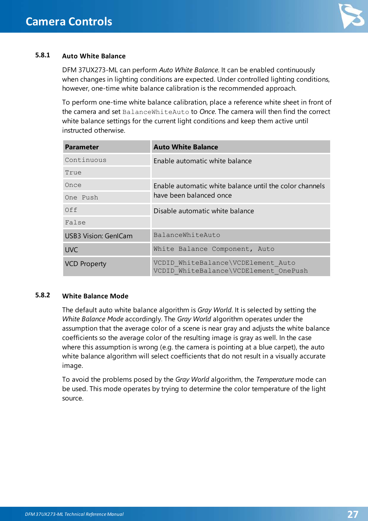

### <span id="page-26-0"></span>**5.8.1 Auto White Balance**

DFM 37UX273-ML can perform *Auto White Balance*. It can be enabled continuously when changes in lighting conditions are expected. Under controlled lighting conditions, however, one-time white balance calibration is the recommended approach.

To perform one-time white balance calibration, place a reference white sheet in front of the camera and set BalanceWhiteAuto to *Once*. The camera will then find the correct white balance settings for the current light conditions and keep them active until instructed otherwise.

| <b>Parameter</b>            | <b>Auto White Balance</b>                                                          |
|-----------------------------|------------------------------------------------------------------------------------|
| Continuous                  | Enable automatic white balance                                                     |
| True                        |                                                                                    |
| Once                        | Enable automatic white balance until the color channels<br>have been balanced once |
| One Push                    |                                                                                    |
| Off                         | Disable automatic white balance                                                    |
| False                       |                                                                                    |
| <b>USB3 Vision: GenICam</b> | BalanceWhiteAuto                                                                   |
| <b>UVC</b>                  | White Balance Component, Auto                                                      |
| <b>VCD Property</b>         | VCDID WhiteBalance\VCDElement Auto<br>VCDID WhiteBalance\VCDElement OnePush        |

#### <span id="page-26-1"></span>**5.8.2 White Balance Mode**

The default auto white balance algorithm is *Gray World*. It is selected by setting the *White Balance Mode* accordingly. The *Gray World* algorithm operates under the assumption that the average color of a scene is near gray and adjusts the white balance coefficients so the average color of the resulting image is gray as well. In the case where this assumption is wrong (e.g. the camera is pointing at a blue carpet), the auto white balance algorithm will select coefficients that do not result in a visually accurate image.

To avoid the problems posed by the *Gray World* algorithm, the *Temperature* mode can be used. This mode operates by trying to determine the color temperature of the light source.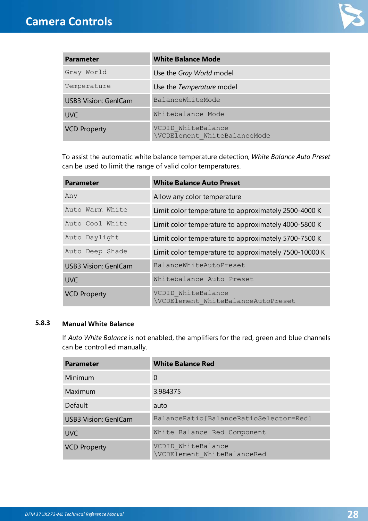

| <b>Parameter</b>            | <b>White Balance Mode</b>                          |
|-----------------------------|----------------------------------------------------|
| Gray World                  | Use the Gray World model                           |
| Temperature                 | Use the Temperature model                          |
| <b>USB3 Vision: GenlCam</b> | BalanceWhiteMode                                   |
| <b>UVC</b>                  | Whitebalance Mode                                  |
| <b>VCD Property</b>         | VCDID WhiteBalance<br>\VCDElement WhiteBalanceMode |

To assist the automatic white balance temperature detection, *White Balance Auto Preset* can be used to limit the range of valid color temperatures.

| <b>Parameter</b>            | <b>White Balance Auto Preset</b>                         |
|-----------------------------|----------------------------------------------------------|
| Any                         | Allow any color temperature                              |
| Auto Warm White             | Limit color temperature to approximately 2500-4000 K     |
| Auto Cool White             | Limit color temperature to approximately 4000-5800 K     |
| Auto Daylight               | Limit color temperature to approximately 5700-7500 K     |
| Auto Deep Shade             | Limit color temperature to approximately 7500-10000 K    |
| <b>USB3 Vision: GenlCam</b> | BalanceWhiteAutoPreset                                   |
| <b>UVC</b>                  | Whitebalance Auto Preset                                 |
| <b>VCD Property</b>         | VCDID WhiteBalance<br>\VCDElement WhiteBalanceAutoPreset |

### <span id="page-27-0"></span>**5.8.3 Manual White Balance**

If *Auto White Balance* is not enabled, the amplifiers for the red, green and blue channels can be controlled manually.

| <b>Parameter</b>            | <b>White Balance Red</b>                          |
|-----------------------------|---------------------------------------------------|
| Minimum                     | 0                                                 |
| Maximum                     | 3.984375                                          |
| Default                     | auto                                              |
| <b>USB3 Vision: GenlCam</b> | BalanceRatio[BalanceRatioSelector=Red]            |
| <b>UVC</b>                  | White Balance Red Component                       |
| <b>VCD Property</b>         | VCDID WhiteBalance<br>\VCDElement WhiteBalanceRed |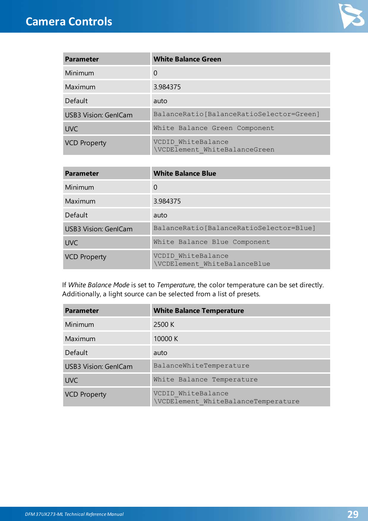

| <b>Parameter</b>            | <b>White Balance Green</b>                          |
|-----------------------------|-----------------------------------------------------|
| Minimum                     | 0                                                   |
| Maximum                     | 3.984375                                            |
| Default                     | auto                                                |
| <b>USB3 Vision: GenlCam</b> | BalanceRatio[BalanceRatioSelector=Green]            |
| <b>UVC</b>                  | White Balance Green Component                       |
| <b>VCD Property</b>         | VCDID WhiteBalance<br>\VCDElement WhiteBalanceGreen |

| <b>Parameter</b>            | <b>White Balance Blue</b>                          |
|-----------------------------|----------------------------------------------------|
| Minimum                     | 0                                                  |
| <b>Maximum</b>              | 3.984375                                           |
| Default                     | auto                                               |
| <b>USB3 Vision: GenlCam</b> | BalanceRatio[BalanceRatioSelector=Blue]            |
| <b>UVC</b>                  | White Balance Blue Component                       |
| <b>VCD Property</b>         | VCDID WhiteBalance<br>\VCDElement WhiteBalanceBlue |

If *White Balance Mode* is set to *Temperature*, the color temperature can be set directly. Additionally, a light source can be selected from a list of presets.

| <b>Parameter</b>            | <b>White Balance Temperature</b>                          |
|-----------------------------|-----------------------------------------------------------|
| Minimum                     | 2500 K                                                    |
| Maximum                     | 10000 K                                                   |
| Default                     | auto                                                      |
| <b>USB3 Vision: GenlCam</b> | BalanceWhiteTemperature                                   |
| <b>UVC</b>                  | White Balance Temperature                                 |
| <b>VCD Property</b>         | VCDID WhiteBalance<br>\VCDElement WhiteBalanceTemperature |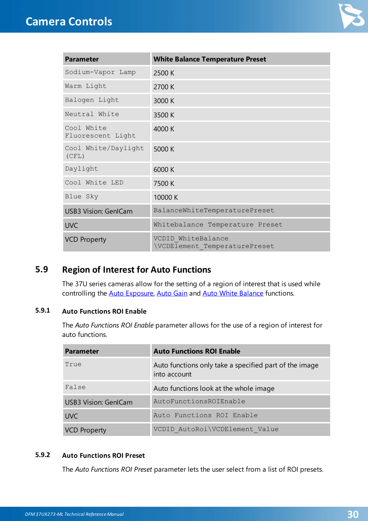

| <b>Parameter</b>                | <b>White Balance Temperature Preset</b>             |
|---------------------------------|-----------------------------------------------------|
| Sodium-Vapor Lamp               | 2500 K                                              |
| Warm Light                      | 2700 K                                              |
| Halogen Light                   | 3000 K                                              |
| Neutral White                   | 3500 K                                              |
| Cool White<br>Fluorescent Light | 4000 K                                              |
| Cool White/Daylight<br>(CFL)    | 5000 K                                              |
| Daylight                        | 6000 K                                              |
| Cool White LED                  | 7500 K                                              |
| Blue Sky                        | 10000 K                                             |
| <b>USB3 Vision: GenlCam</b>     | BalanceWhiteTemperaturePreset                       |
| <b>UVC</b>                      | Whitebalance Temperature Preset                     |
| <b>VCD Property</b>             | VCDID WhiteBalance<br>\VCDElement TemperaturePreset |

### <span id="page-29-0"></span>**5.9 Region of Interest for Auto Functions**

The 37U series cameras allow for the setting of a region of interest that is used while controlling the Auto [Exposure](#page-17-0), [Auto](#page-17-1) Gain and Auto White [Balance](#page-26-0) functions.

### <span id="page-29-1"></span>**5.9.1 Auto Functions ROI Enable**

The *Auto Functions ROI Enable* parameter allows for the use of a region of interest for auto functions.

| <b>Parameter</b>            | <b>Auto Functions ROI Enable</b>                                       |
|-----------------------------|------------------------------------------------------------------------|
| True                        | Auto functions only take a specified part of the image<br>into account |
| False                       | Auto functions look at the whole image                                 |
| <b>USB3 Vision: GenICam</b> | AutoFunctionsROIEnable                                                 |
| <b>UVC</b>                  | Auto Functions ROI Enable                                              |
| <b>VCD Property</b>         | VCDID AutoRoi\VCDElement Value                                         |

### <span id="page-29-2"></span>**5.9.2 Auto Functions ROI Preset**

The *Auto Functions ROI Preset* parameter lets the user select from a list of ROI presets.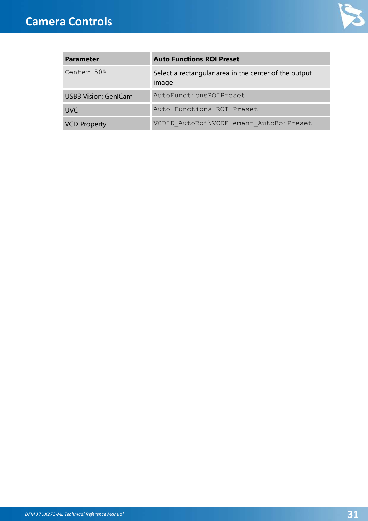

| <b>Parameter</b>            | <b>Auto Functions ROI Preset</b>                               |
|-----------------------------|----------------------------------------------------------------|
| Center 50%                  | Select a rectangular area in the center of the output<br>image |
| <b>USB3 Vision: GenICam</b> | AutoFunctionsROIPreset                                         |
| <b>UVC</b>                  | Auto Functions ROI Preset                                      |
| <b>VCD Property</b>         | VCDID AutoRoi\VCDElement AutoRoiPreset                         |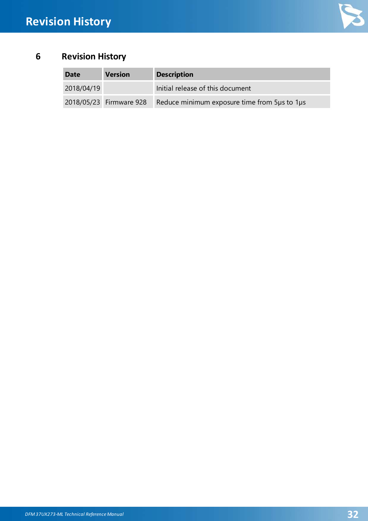

## <span id="page-31-0"></span>**6 Revision History**

| <b>Date</b> | <b>Version</b>          | <b>Description</b>                           |
|-------------|-------------------------|----------------------------------------------|
| 2018/04/19  |                         | Initial release of this document             |
|             | 2018/05/23 Firmware 928 | Reduce minimum exposure time from 5us to 1us |